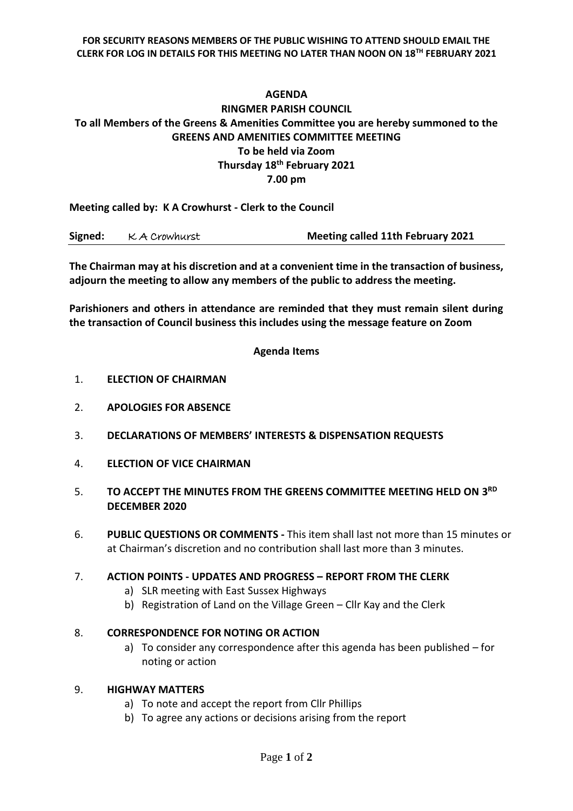#### **FOR SECURITY REASONS MEMBERS OF THE PUBLIC WISHING TO ATTEND SHOULD EMAIL THE CLERK FOR LOG IN DETAILS FOR THIS MEETING NO LATER THAN NOON ON 18TH FEBRUARY 2021**

# **AGENDA RINGMER PARISH COUNCIL To all Members of the Greens & Amenities Committee you are hereby summoned to the GREENS AND AMENITIES COMMITTEE MEETING To be held via Zoom Thursday 18th February 2021 7.00 pm**

**Meeting called by: K A Crowhurst - Clerk to the Council** 

| Signed: | K A Crowhurst | <b>Meeting called 11th February 2021</b> |
|---------|---------------|------------------------------------------|
|---------|---------------|------------------------------------------|

**The Chairman may at his discretion and at a convenient time in the transaction of business, adjourn the meeting to allow any members of the public to address the meeting.**

**Parishioners and others in attendance are reminded that they must remain silent during the transaction of Council business this includes using the message feature on Zoom**

### **Agenda Items**

- 1. **ELECTION OF CHAIRMAN**
- 2. **APOLOGIES FOR ABSENCE**
- 3. **DECLARATIONS OF MEMBERS' INTERESTS & DISPENSATION REQUESTS**
- 4. **ELECTION OF VICE CHAIRMAN**
- 5. TO ACCEPT THE MINUTES FROM THE GREENS COMMITTEE MEETING HELD ON 3<sup>RD</sup> **DECEMBER 2020**
- 6. **PUBLIC QUESTIONS OR COMMENTS -** This item shall last not more than 15 minutes or at Chairman's discretion and no contribution shall last more than 3 minutes.

### 7. **ACTION POINTS - UPDATES AND PROGRESS – REPORT FROM THE CLERK**

- a) SLR meeting with East Sussex Highways
- b) Registration of Land on the Village Green Cllr Kay and the Clerk

### 8. **CORRESPONDENCE FOR NOTING OR ACTION**

a) To consider any correspondence after this agenda has been published – for noting or action

#### 9. **HIGHWAY MATTERS**

- a) To note and accept the report from Cllr Phillips
- b) To agree any actions or decisions arising from the report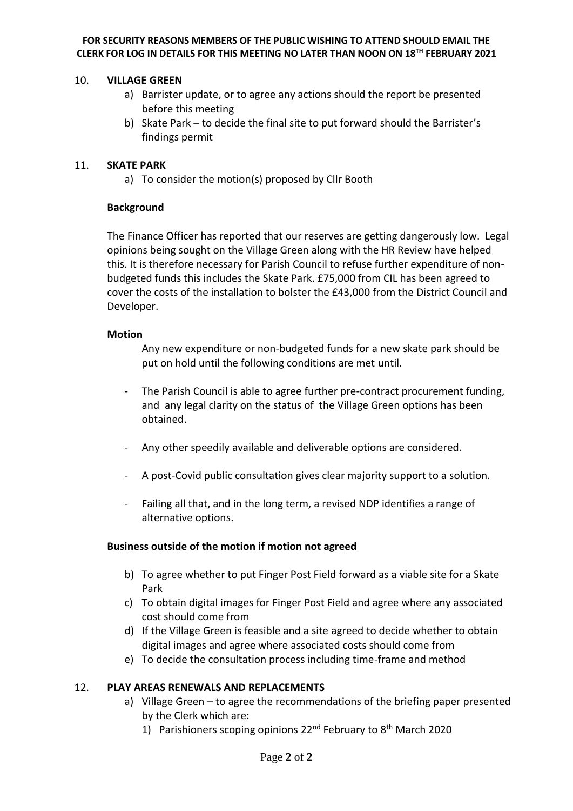#### **FOR SECURITY REASONS MEMBERS OF THE PUBLIC WISHING TO ATTEND SHOULD EMAIL THE CLERK FOR LOG IN DETAILS FOR THIS MEETING NO LATER THAN NOON ON 18TH FEBRUARY 2021**

### 10. **VILLAGE GREEN**

- a) Barrister update, or to agree any actions should the report be presented before this meeting
- b) Skate Park to decide the final site to put forward should the Barrister's findings permit

### 11. **SKATE PARK**

a) To consider the motion(s) proposed by Cllr Booth

### **Background**

The Finance Officer has reported that our reserves are getting dangerously low. Legal opinions being sought on the Village Green along with the HR Review have helped this. It is therefore necessary for Parish Council to refuse further expenditure of nonbudgeted funds this includes the Skate Park. £75,000 from CIL has been agreed to cover the costs of the installation to bolster the £43,000 from the District Council and Developer.

### **Motion**

Any new expenditure or non-budgeted funds for a new skate park should be put on hold until the following conditions are met until.

- The Parish Council is able to agree further pre-contract procurement funding, and any legal clarity on the status of the Village Green options has been obtained.
- Any other speedily available and deliverable options are considered.
- A post-Covid public consultation gives clear majority support to a solution.
- Failing all that, and in the long term, a revised NDP identifies a range of alternative options.

### **Business outside of the motion if motion not agreed**

- b) To agree whether to put Finger Post Field forward as a viable site for a Skate Park
- c) To obtain digital images for Finger Post Field and agree where any associated cost should come from
- d) If the Village Green is feasible and a site agreed to decide whether to obtain digital images and agree where associated costs should come from
- e) To decide the consultation process including time-frame and method

# 12. **PLAY AREAS RENEWALS AND REPLACEMENTS**

- a) Village Green to agree the recommendations of the briefing paper presented by the Clerk which are:
	- 1) Parishioners scoping opinions 22<sup>nd</sup> February to 8<sup>th</sup> March 2020